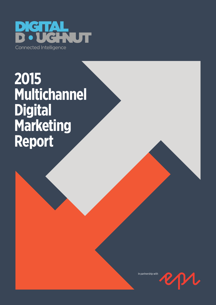

**2015 Multichannel Digital Marketing Report**

In partnership with

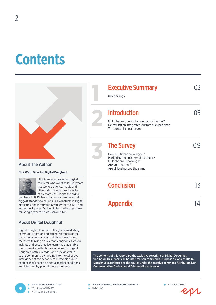# **Contents**

 $\overline{\phantom{0}}$ 



#### About The Author

#### **Nick Watt, Director, Digital Doughnut**



Nick is an award-winning digital marketer who over the last 20 years has worked agency, media and client side, including senior roles at six start-ups. He got the digital

bug back in 1995, launching nme.com-the world's biggest standalone music site. He lectures in Digital Marketing and Integrated Strategy for the IDM, and wrote the Squared Online digital marketing course for Google, where he was senior tutor.

#### About Digital Doughnut

Digital Doughnut connects the global marketing community both on and offline. Members of the community gain access to skills and resources, the latest thinking on key marketing topics, crucial insights and best practice learnings that enable them to make better business decisions. Digital Doughnut both leverages and provides value to the community by tapping into the collective intelligence of the network to create high value content that's based on actual market conditions and informed by practitioners experience.

| <b>Executive Summary</b><br>Key findings                                                                                                                         | 14 |
|------------------------------------------------------------------------------------------------------------------------------------------------------------------|----|
| <b>Introduction</b><br>Multichannel, crosschannel, omnichannel?<br>Delivering an integrated customer experience<br>The content conundrum                         | 05 |
| <b>The Survey</b><br>How multichannel are you?<br>Marketing technology disconnect?<br>Multichannel challenges<br>Are you content?<br>Are all businesses the same |    |
| <b>Conclusion</b>                                                                                                                                                | 13 |
| <b>Appendix</b>                                                                                                                                                  | 14 |

The contents of this report are the exclusive copyright of Digital Doughnut, findings in this report can be used for non commercial purpose as long as Digital Doughnut is attributed as the source under the creative commons Attribution Non Commercial No Derivatives 4.0 International licence.

www.digitaldoughnut.com  $\blacktriangleright$  TFI: +44 (0) 207 193 4600 © Digital Doughnut 2015

**2015 MULTICHANNEL DIGITAL MARKETING REPORT** 

 $MARTH 2015$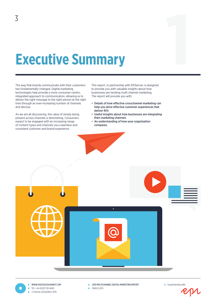## **Executive Summary**

The way that brands communicate with their customers has fundamentally changed. Digital marketing technologies help provide a more consumer-centric, integrated approach to communication, allowing us to deliver the right message to the right person at the right time through an ever-increasing number of channels and devices.

3

As we are all discovering, the value of simply being present across channels is diminishing. Consumers expect to be engaged with an increasing range of content types and channels via a seamless and consistent customer and brand experience.

This report, in partnership with EPiServer, is designed to provide you with valuable insights about how businesses are tackling multi channel marketing. The report will provide you with:

- Details of how effective crosschannel marketing can help you drive effective customer experiences that deliver ROI
- Useful insights about how businesses are integrating their marketing channels
- An understanding of how your organisation compares.



www.digitaldoughnut.com Tel: +44 (0)207 193 4600 © Digital Doughnut 2015

- 2015 MULTICHANNEL DIGITAL MARKETING REPORT
- $MARTH 2015$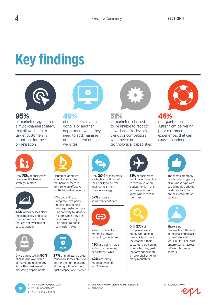# **Key findings**



#### 95%

4

of marketers agree that a multi-channel strategy that allows them to target customers is important for their organisation



49% of marketers have to go to IT or another department when they need to add, manage or edit content on their websites



#### 51%

of marketers claimed to be unable to react to new channels, devices, trends or competitors with their current technological capabilities



#### 46%

of organisations suffer from delivering poor customer experiences that can cause abandonment



Only 73% of businesses have a multi-channel strategy in place



46% of businesses claim the complexity of diverse channels requires skills that are not available or easy to acquire



Once purchased, in 80% of cases the ownership of marketing technology lies within businesses' marketing departments



Marketers identified a number of issues that hamper them in delivering an effective multi-channel experience:

- The capability to integrate third party applications to help
- leverage customer data • The capacity to identify visitors when they are most likely to buy
- The ability to boost conversion rates



27% of marketers lacked confidence in their ability to deliver the right message at the right time to the right prospect or customer



Only 30% of marketers are highly confident of their ability to deliver against their multichannel strategy

67% are only somewhat confident



When it comes to marketing-driven technology decisions:

49% are being made within the marketing department, while

42% are jointly made between IT and Marketing.



**61%** of businesses don't have the ability to recognise where a customer is in their journey, and then know where to take them next



Only 27% of companies were highly confident in their ability to track the channels their customers are coming from, which suggests that attribution is still a major challenge for many marketers



The most commonly used content types by all business types are social media updates/ posts, and articles on their products or services



There is no discernable difference in the challenges faced by marketers who work in SME's or large enterprises, or across different business sectors.

www.digitaldoughnut.com Tel: +44 (0)207 193 4600 © Digital Doughnut 2015

- 2015 MULTICHANNEL DIGITAL MARKETING REPORT
- $MARTH 2015$

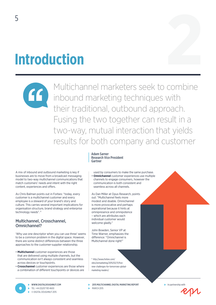# **Introduction**

Multichannel marketers seek to combine  $\left( 6 \right)$ inbound marketing techniques with their traditional, outbound approach. Fusing the two together can result in a two-way, mutual interaction that yields results for both company and customer

A mix of inbound and outbound marketing is key if businesses are to move from a broadcast messaging model to two-way multichannel communications that match customers' needs and intent with the right

As Chris Balman points out in Forbes: "today, every customer is a multichannel customer and every employee is a steward of your brand's story and culture. This carries several important implications for organisation structure, brand strategy and enterprise technology needs". **<sup>1</sup>**

#### Multichannel, Crosschannel, Omnichannel?

content, experiences and offers.

'Why use one descriptor when you can use three' seems to be a common problem in the digital space. However, there are some distinct differences between the three approaches to the customer-supplier relationship.

- **Multichannel** customer experiences are those that are delivered using multiple channels, but the communication isn't always consistent and seamless across devices or touchpoints.
- **Crosschannel** customer experiences are those where a combination of different touchpoints or devices are

used by consumers to make the same purchase. • **Omnichannel** customer experiences use multiple channels to engage consumers, however the communication is both consistent and seamless across all channels.

As Dan Miller at Opus Research, points out: "Multichannel feels more modest and doable. Omnichannel is more provocative and perhaps aspirational because it hints at omnipresence and omnipotence – which are attributes each individual customer would welcome gladly."

Adam Sarner

Gartner

Research Vice President

John Bowden, Senior VP at Time Warner, emphasizes the difference: "Omnichannel is Multichannel done right!"

**<sup>1</sup>** http://www.forbes.com/ sites/onmarketing/2015/02/11/fivenew-challenges-for-tomorrows-globalmarketing-leaders/

- 2015 MULTICHANNEL DIGITAL MARKETING REPORT
	- **MARCH 2015**

 $\blacktriangleright$  In partnership with



www.digitaldoughnut.com Tel: +44 (0)207 193 4600 © Digital Doughnut 2015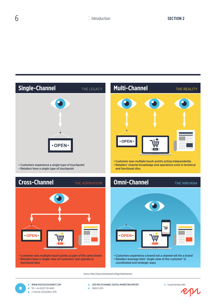

www.digitaldoughnut.com Tel: +44 (0)207 193 4600 × © Digital Doughnut 2015 Ď

- **2015 MULTICHANNEL DIGITAL MARKETING REPORT**
- $MARTH 2015$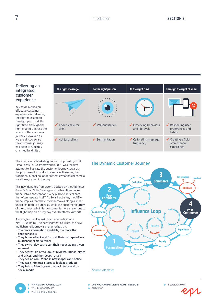#### Delivering an integrated customer experience

Key to delivering an effective customer experience is delivering the right message to the right person at the right time, through the right channel, across the whole of the customer journey. However, as we are all-too aware, the customer journey has been irrevocably changed by digital.



The Purchase or Marketing Funnel proposed by E. St. Elmo Lewis' AIDA framework in 1898 was the first attempt to illustrate the customer journey towards the purchase of a product or service. However, the traditional funnel no longer reflects what has become a non-linear, dynamic journey.

This new dynamic framework, posited by the Altimeter Group's Brian Solis, 'reimagines the traditional sales funnel into a constant and very public elliptical path that often repeats itself.' As Solis illustrates, the AIDA funnel implies that the customer moves along a linear unbroken path to purchase, while the customer journey of the connected digital consumer is more analogous to the flight map on a busy day over Heathrow Airport!

As Google's Jim Lecinski points out in his book, ZMOT – Winning The Zero Moment Of Truth, the new multichannel journey is characterized by:

- The more information available, the more the shopper seeks
- They bounce back and forth at their own speed in a multichannel marketplace
- They switch devices to suit their needs at any given moment
- They search; go off to look at reviews, ratings, styles and prices; and then search again
- They see ads on TV and in newspapers and online
- They walk into local stores to look at products
- They talk to friends, over the back fence and on social media

www.digitaldoughnut.com

Tel: +44 (0)207 193 4600 © Digital Doughnut 2015

- 2015 MULTICHANNEL DIGITAL MARKETING REPORT
- $MARTH 2015$

 $\blacktriangleright$  In partnership with

## The Dynamic Customer Journey

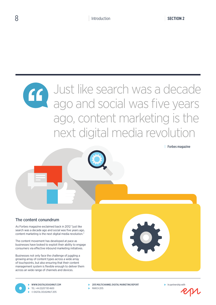Forbes magazine

## Constant like search was a decade ago and social was five years ago, content marketing is the next digital media revolution

#### The content conundrum

As Forbes magazine exclaimed back in 2012 "just like search was a decade ago and social was five years ago, content marketing is the next digital media revolution."

The content movement has developed at pace as businesses have looked to exploit their ability to engage consumers via effective inbound marketing initiatives.

Businesses not only face the challenge of juggling a growing array of content types across a wide array of touchpoints, but also ensuring that their content management system is flexible enough to deliver them across an wide range of channels and devices.



- 2015 MULTICHANNEL DIGITAL MARKETING REPORT
- $MARTH 2015$

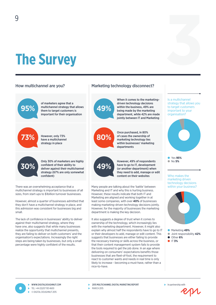# **The Survey**

#### How multichannel are you?



However, only 73% have a multichannel strategy in place

**30%**

**73%**

Only 30% of marketers are highly confident of their ability to deliver against their multichannel strategy (67% are only somewhat confident)

There was an overwhelming acceptance that a multichannel strategy is important to businesses of all sizes, from start-ups to \$1billion turnover businesses.

However, almost a quarter of businesses admitted that they don't have a multichannel strategy in place, and this admission was consistent for businesses big and small.

The lack of confidence in businesses' ability to deliver against their multichannel strategy, where they have one, also suggests that while many businesses realize the opportunity that multichannel presents, they are failing to deliver on both customers' and the organisation's expectations. Increasingly the right steps are being taken by businesses, but only a small percentage were highly confident of the results.

#### Marketing technology disconnect?



Once purchased, in 80% of cases the ownership of marketing technology lies within businesses' marketing departments

**49%**

**80%**

However, 49% of respondents have to go to IT, development (or another department) when they need to add, manage or edit content on their websites

Many people are talking about the 'battle' between Marketing and IT and why this is hurting business. However, these results indicate that both IT and Marketing are aligned and working together in at least some companies, with over **40%** of businesses making marketing-driven technology decisions jointly. However, for the majority of businesses the marketing department is making the key decision.

It also suggests a degree of trust when it comes to ownership of the technology, which increasingly lies with the marketing department. However, it might also explain why almost half the respondents have to go to IT or their developers to add, manage or edit content. This suggests that businesses are either failing to provide the necessary training or skills across the business, or that their content management system fails to provide the tools required to get the job done. In an age where delivering on consumers' expectations benefits those businesses that are fleet-of-foot, the requirement to react to customer wants and needs in real time is only likely to increase - becoming a must-have, rather than a nice-to-have.

Is a multichannel strategy that allows you to target customers important to your organisation?

**3**



l Yes **95%** l No **5%**

#### Who makes the marketing driven technology decisions within your business?



l Marketing **49%** l Joint responsibility **42% l** Other **6%** 

**l** IT 3%

www.digitaldoughnut.com Tel: +44 (0)207 193 4600 © Digital Doughnut 2015

2015 MULTICHANNEL DIGITAL MARKETING REPORT

 $MARTH 2015$ 

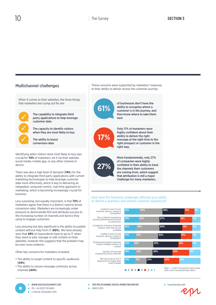#### Multichannel challenges

When it comes to their websites, the three things that marketers are crying out for are:



The capability to integrate third party applications to help leverage customer data

The capacity to identify visitors when they are most likely to buy

The ability to boost conversion rates

Identifying when visitors were most likely to buy was crucial for **74%** of marketers, be it via their website, social media, mobile app, or any other channel or device.

There was also a high level of demand (**74%**) for the ability to integrate third party applications with current marketing technologies to help leverage customer data more effectively, which is key to delivering an integrated, consumer-centric, real-time approach to marketing, which is becoming increasingly crucial for business.

Less surprising, but equally important, is that **73%** of marketers agree that there is a distinct need to boost conversion rates. Marketers are increasingly under pressure to demonstrate ROI and attribute success to the increasing number of channels and tactics they using to engage customers.

Less pressing but also significant is the ability to publish content without help from IT (**65%**). We have already seen that **49%** of respondents have to go to IT when they need to add, manage or edit content on their websites, however this suggests that the problem may be even more endemic.

Other key concerns for marketers included:

- The ability to target content to specific audiences (**54%**)
- The ability to ensure message continuity across channels **(44%**)

www.digitaldoughnut.com

Tel: +44 (0)207 193 4600

© Digital Doughnut 2015

These concerns were supported by marketers' response to their ability to deliver across the customer journey:



How have the following challenges affected your ability to deliver a seamless and unified customer experience?

| Unable to react to new<br>channels, devices, trends or<br>competitors       | 21% | 30% |     | 29% |                                       | 13%<br>8%                                |
|-----------------------------------------------------------------------------|-----|-----|-----|-----|---------------------------------------|------------------------------------------|
| Poor customer experience<br>causing abandonment and lack<br>of satisfaction | 19% | 27% |     | 27% | 16%                                   | 11%                                      |
| Complexity of diverse channels<br>requires skills that are not<br>available | 16% | 30% |     | 30% |                                       | 13%<br>11%                               |
| Unable to react to new<br>channels, devices, trends or<br>competitors       | 15% | 29% |     | 30% | 15%                                   | <b>11%</b>                               |
| Multichannel product launches<br>require multiple versions of<br>content    | 12% | 26% | 33% |     | 18%                                   | 11%                                      |
| Quickly roll-out new<br>experiences across channels                         | 16% | 22% | 26% |     | 22%                                   | 15%                                      |
| We have to go to our IT<br>department to make often<br>small changes        | 14% | 15% | 23% | 20% | 28%                                   |                                          |
|                                                                             | ↳   | 3   |     |     | affect and 1 having the least affect. | Rate 1 - 5 with 5 having the most severe |

affect and 1 having the least affect.

- **2015 MULTICHANNEL DIGITAL MARKETING REPORT**
- $MARTH 2015$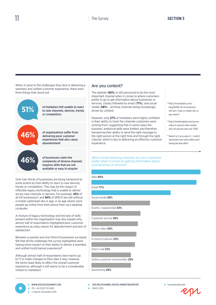When it came to the challenges they face in delivering a seamless and unified customer experience, there were three things that stood out:



of organisations suffer from delivering poor customer experiences that also cause abandonment

of businesses claim the complexity of diverse channels requires skills that are not available or easy to acquire

Over two-thirds of businesses are being hampered to some extent by their ability to react to new devices, trends or competitors. This may be the impact of inflexible legacy technology that is unable to deliver across new channels or devices. For example, **45%** of all UK businesses**2**, and **94%** of SME's**<sup>3</sup>** are still without a mobile-optimised site or app, in an age where more people go online from their phone than via a desktop computer.

A mixture of legacy technology and the lack of skills present within the organisation may also explain why almost half of respondents highlighted poor customer experience as a key reason for abandonment and lack of satisfaction.

Between a quarter and one-third of businesses surveyed felt that all the challenges the survey highlighted were having some impact on their ability to deliver a seamless and unified multichannel experience**4**.

Although almost half of respondents have had to go to IT to make changes to their sites it was, however, the factor least likely to affect the overall customer experience, although it still seems to be a considerable irritant to marketers!

#### Are you content?

The website (**80%**) is still perceived to be the most important channel when it comes to where customers prefer to go to get information about businesses or services, closely followed by email (**77%**), and social media (**58%**) - all three channels being increasingly driven by content.

However, only **27%** of marketers were highly confident in their ability to track the channels customers were coming from, suggesting that in some cases the business' analytical skills were limited, and therefore hampering their ability to send the right message to the right person at the right time and through the right channel, which is key to delivering an effective customer experience.

**46%** of businesses claim the Which of the following channels do your customers complexity of diverse channels prefer when it comes to getting information about your business or services?

Web **80%**

Email **77%**

Social media **58%**

Customer service **36%**

Online video **34%**

In store/in person **33%**

Online customer communities **29%**

- 2015 MULTICHANNEL DIGITAL MARKETING REPORT
- $MARTH 2015$

**<sup>2</sup>** https://econsultancy.com/ blog/62656-45-of-businessesstill-don-t-have-a-mobile-site-orapp-report/

**<sup>3</sup>** http://marketingland.com/surveyonline-6-percent-smbs-mobilesites-45-percent-dont-site-73937

**<sup>4</sup>** Rated 1 or 2 on a scale of 1 – 5 with 5 having the most severe affect and 1 having the least affect.

Events / experiential **43%** Direct mail **32%** Advertising **29%**

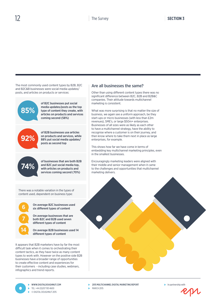The most commonly used content types by B2B, B2C and B2C&B businesses were social media updates/ posts, and articles on products or services:



of B2C businesses put social media updates/posts as the top type of content they create, with articles on products and services coming second (58%)

of B2B businesses use articles on products and services, while 88% put social media updates/

**92%**

posts as second top **74%**

of businesses that are both B2B and B2C put social media top, with articles on products and services coming second (70%)

There was a notable variation in the types of content used, dependent on business type:



On average B2C businesses used six different types of content

On average businesses that are both B2C and B2B used seven different types of content

On average B2B businesses used 14 different types of content

It appears that B2B marketers have by far the most difficult task when it comes to orchestrating their content tactics, as they have twice as many content types to work with. However on the positive side B2B businesses have a broader range of opportunities to create effective content and experiences for their customers - including case studies, webinars, infographics and trend reports.

> www.digitaldoughnut.com Tel: +44 (0)207 193 4600 © Digital Doughnut 2015

Are all businesses the same?

Other than using different content types there was no significant difference between B2C, B2B and B2B&C companies. Their attitude towards multichannel marketing is consistent.

What was more surprising is that no matter the size of business, we again see a uniform approach, be they start-ups or micro businesses (with less than £2m revenues), SME's, or large \$50m+ enterprises. Businesses of all sizes were as likely as each other to have a multichannel strategy, have the ability to recognise where a customer is on their journey, and then know where to take them next in place as large enterprises, for example.

This shows how far we have come in terms of embedding key multichannel marketing principles, even in the smallest businesses.

Encouragingly marketing leaders were aligned with their middle and senior management when it came to the challenges and opportunities that multichannel marketing delivers.



- **2015 MULTICHANNEL DIGITAL MARKETING REPORT**
- $MARTH 2015$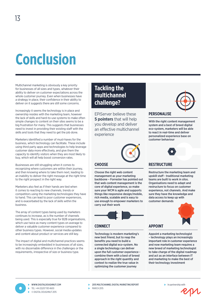# **Conclusion**

Multichannel marketing is obviously a key priority for businesses of all sizes and types, whatever their ability to deliver on customer expectations across the whole customer journey. Even when businesses have a strategy in place, their confidence in their ability to deliver on it suggests there are still some concerns.

Increasingly it seems the technology is in place and ownership resides with the marketing team, however the lack of skills and hard-to-use systems to make often simple changes to content on their sites seems to be a big frustration for many. This suggests that businesses need to invest in providing their existing staff with the skills and tools that they need to get the job done.

Marketers identified a number of must-haves for the business, which technology can facilitate. These include using third party apps and technologies to help leverage customer data more effectively, and give them the capacity to identify visitors when they are most likely to buy, which will all help boost conversion rates.

Businesses are still struggling when it comes to recognizing where customers are within their journey, and then knowing where to take them next, leading to an inability to deliver the right message at the right time to the right prospect in the right way.

Marketers also feel as if their hands are tied when it comes to reacting to new channels, trends or competitors using the marketing technologies they have to hand. This can lead to poor customer experiences, and is exacerbated by the lack of skills within the business.

The array of content types being used by marketers continues to increase, as is the number of channels being used. This is especially true for B2B organisations, which use twice as many content types on average to deliver a valuable customer experience compared to other business types. However, social media updates and content about product or services are still key.

The impact of digital and multichannel practices seems to be increasingly embedded in businesses of all sizes, with no discernable difference in the challenges or the requirements, irrespective of size or business type.

#### **Tackling the multichannel challenge?**

EPiServer believe these **5 pointers** that will help you develop and deliver an effective multichannel experience



#### **CHOOSE**

Choose the right web content management as your marketing backbone – Forrester has pointed out that web content management is the core of digital experience, so make sure your WCM is agile and supports things like responsive design/mobile, rich media, scalable and is easy to use enough to empower marketers to carry out their work



#### **CONNECT**

Technology is modern marketing's new best friend, but to reap the benefits you need to build a connected digital eco-system. No a single technology can deliver upon the full customer experience combine them with a best of breed approach in the right quantity and context to realize the true value in optimizing the customer journey



#### **PERSONALISE**

With the right content management system and a best of breed digital eco-system, marketers will be able to react in real-time and deliver personalized experience base on customer behaviour



#### **RESTRUCTURE**

Restructure the marketing team and upskill staff - traditional marketing teams are built to work in silos. Organisations need to adapt and restructure to focus on customer experience, not channels. And make sure they have the knowledge and data access to keep up with customer demands



#### **APPOINT**

Appoint a marketing technologist – technology plays an increasingly important role in customer experience and now marketing team requires a new breed of marketing technologist to take charge of the digital roadmap and act as an interface between IT and marketing to make the best of their technology investment

- 2015 MULTICHANNEL DIGITAL MARKETING REPORT
- $MARTH 2015$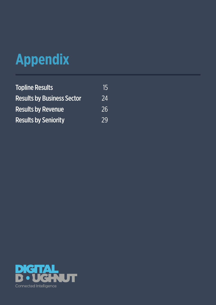# **Appendix**

| <b>Topline Results</b>            | 15 |
|-----------------------------------|----|
| <b>Results by Business Sector</b> | 24 |
| <b>Results by Revenue</b>         | 26 |
| <b>Results by Seniority</b>       | 29 |

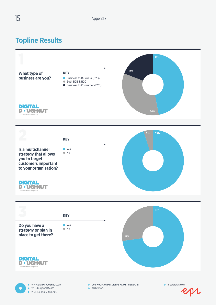### **Topline Results**

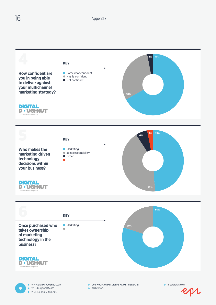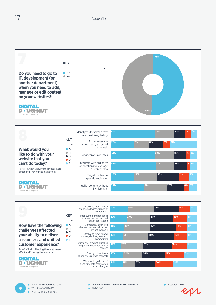

17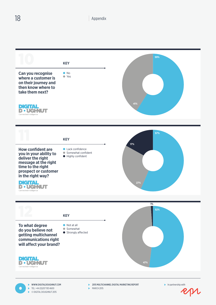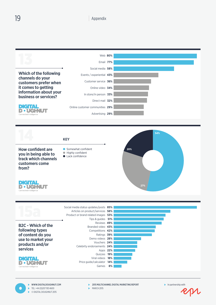



ected Intelligence

www.digitaldoughnut.com  $\blacktriangleright$  TFI: +44 (0) 207 193 4600 © Digital Doughnut 2015

**2015 MULTICHANNEL DIGITAL MARKETING REPORT** 

Quizzes **19%** Viral videos **18%** Price guide/calculator **14%**

Games **8%**

 $MARTH 2015$ 

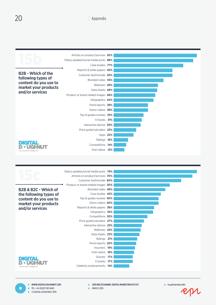|                           | Articles on product/services 92%      |  |
|---------------------------|---------------------------------------|--|
|                           | Status updates/social media posts 88% |  |
|                           | Case studies 77%                      |  |
|                           | Reports & white papers 65%            |  |
| <b>B2B - Which of the</b> | Customer testimonials 65%             |  |
| following types of        | Branded video 55%                     |  |
| content do you use to     | Webinars 49%                          |  |
| market your products      | Data sheets 48%                       |  |
| and/or services           | Product or brand related images 46%   |  |
|                           | Infographics 44%                      |  |
|                           | Trend reports 38%                     |  |
|                           | Demo videos 38%                       |  |
|                           | Tips & guides reviews 33%             |  |
|                           | E-books 31%                           |  |
|                           | Interactive demos 30%                 |  |
|                           | Price guide/calculator 25%            |  |
|                           | Apps 22%                              |  |
|                           | Ratings 16%                           |  |
|                           | Competitions 14%                      |  |
| Connected Intelligence    | Viral videos 12%                      |  |

|                        | Status updates/social media posts 74% |  |
|------------------------|---------------------------------------|--|
|                        | Articles on product/services 70%      |  |
|                        | Customer testimonials 60%             |  |
|                        | Product or brand related images 50%   |  |
| B2B & B2C - Which of   | Branded video 46%                     |  |
| the following types of | Case studies 42%                      |  |
| content do you use to  | Tips & guides reviews 40%             |  |
| market your products   | Demo videos 40%                       |  |
| and/or services        | Reports & white papers 36%            |  |
|                        | Infographics 35%                      |  |
|                        | Competitions 30%                      |  |
|                        | Price guide/calculator 27%            |  |
|                        | Interactive demos 25%                 |  |
|                        | Webinars 24%                          |  |
|                        | Data sheets 23%                       |  |
|                        | Ratings 21%                           |  |
|                        | Trend reports 20%                     |  |
|                        | Vouchers 19%                          |  |
|                        | Viral videos 18%                      |  |
|                        | Quizzes 17%                           |  |
|                        | E-books 17%                           |  |
| Connected Intelligence | Celebrity endorsements 14%            |  |
|                        |                                       |  |

www.digitaldoughnut.com Tel: +44 (0)207 193 4600 © Digital Doughnut 2015

 $\bullet$ 

- 2015 MULTICHANNEL DIGITAL MARKETING REPORT
- $MARTH 2015$

In partnership with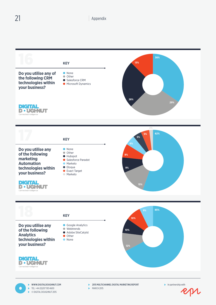

www.digitaldoughnut.com ь  $\blacktriangleright$  TEL: +44 (0) 207 193 4600 © Digital Doughnut 2015  $\ddot{\phantom{1}}$ 

- **2015 MULTICHANNEL DIGITAL MARKETING REPORT**
- $MARTH 2015$

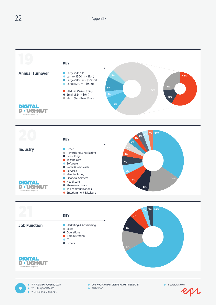

 $\blacktriangleright$  TEL: +44 (0)207 193 4600 © Digital Doughnut 2015

 $MARCH 2015$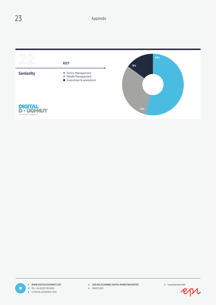

 $\bullet$ 

**2015 MULTICHANNEL DIGITAL MARKETING REPORT** 

 $MARCH 2015$ 

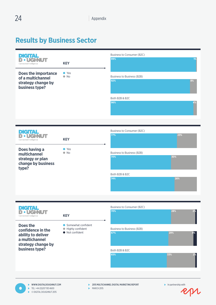## **Results by Business Sector**

| <b>DIGTAL</b><br>Connected Intelligence<br><b>Does the importance</b><br>of a multichannel<br>strategy change by<br>business type? | <b>KEY</b><br>● Yes<br>$\bullet$ No                       | Business to Consumer (B2C)<br>99%<br>1%<br>Business to Business (B2B)<br>92%<br>8%<br>Both B2B & B2C<br>96% |
|------------------------------------------------------------------------------------------------------------------------------------|-----------------------------------------------------------|-------------------------------------------------------------------------------------------------------------|
|                                                                                                                                    |                                                           |                                                                                                             |
| DIC TAL<br>Connected Intelligence                                                                                                  | <b>KEY</b>                                                | <b>Business to Consumer (B2C)</b><br>77%<br>23%                                                             |
| Does having a<br>multichannel<br>strategy or plan<br>change by business<br>type?                                                   | ● Yes<br>$\bullet$ No                                     | <b>Business to Business (B2B)</b><br>70%<br>30%<br>Both B2B & B2C<br>74%<br>26%                             |
| <b>DIGTAL</b><br>· UGHN<br>Connected Intelligence                                                                                  | <b>KEY</b>                                                | Business to Consumer (B2C)<br>70%<br>28%                                                                    |
| Does the<br>confidence in the<br>ability to deliver<br>a multichannel<br>strategy change by<br>business type?                      | Somewhat confident<br>Highly confident<br>• Not confident | <b>Business to Business (B2B)</b><br>67%<br>29%<br>4%<br>Both B2B & B2C<br>65%<br>33%<br>2%                 |
| WWW.DIGITALDOUGHNUT.COM<br>TEL: +44 (0)207 193 4600<br>© DIGITAL DOUGHNUT 2015<br>Þ.                                               | ٠<br><b>MARCH 2015</b><br>Þ                               | $\blacktriangleright$ In partnership with<br>2015 MULTICHANNEL DIGITAL MARKETING REPORT                     |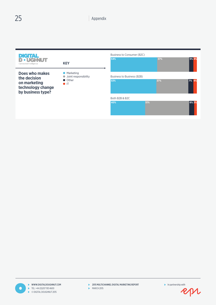| <b>DIGITAL</b><br><b>. UGHNUT</b><br>Connected Intelligence                              | <b>KEY</b>                                                       | Business to Consumer (B2C)<br>54% | 37% | 5% 4% |
|------------------------------------------------------------------------------------------|------------------------------------------------------------------|-----------------------------------|-----|-------|
| Does who makes<br>the decision<br>on marketing<br>technology change<br>by business type? | • Marketing<br>• Joint responsibility<br>• Other<br>$\bullet$ IT | Business to Business (B2B)<br>53% | 37% | 7% 4% |
|                                                                                          |                                                                  | Both B2B & B2C                    |     |       |
|                                                                                          |                                                                  | 40%                               | 51% | 6% 3% |

 $\bullet$ 

**2015 MULTICHANNEL DIGITAL MARKETING REPORT** 

 $MARTH 2015$ 

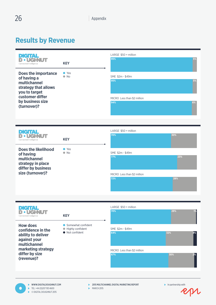## **Results by Revenue**

| DIC'H AL<br>Connected Intelligence                                                                             | <b>KEY</b>                             | LARGE \$50 + million<br>95%               | 5% |
|----------------------------------------------------------------------------------------------------------------|----------------------------------------|-------------------------------------------|----|
| Does the importance<br>of having a<br>multichannel<br>strategy that allows<br>you to target<br>customer differ | ● Yes<br>$\bullet$ No                  | SME \$2m - \$49m<br>95%                   |    |
| by business size<br>(turnover)?                                                                                |                                        | MICRO Less than \$2 million<br>94%        | 6% |
|                                                                                                                |                                        |                                           |    |
| $\mathbf{E}(\mathbf{C} \mathbf{I} \mathbf{A})$<br>Trek<br>Connected Intelligence                               | <b>KEY</b>                             | LARGE \$50 + million<br>70%<br>30%        |    |
| <b>Does the likelihood</b>                                                                                     | ● Yes<br>$\bullet$ No                  | SME \$2m - \$49m                          |    |
| of having<br>multichannel                                                                                      |                                        | 77%<br>23%                                |    |
| strategy in place<br>differ by business                                                                        |                                        |                                           |    |
| size (turnover)?                                                                                               |                                        | MICRO Less than \$2 million               |    |
|                                                                                                                |                                        | 72%<br>28%                                |    |
|                                                                                                                |                                        |                                           |    |
| DIG INTI                                                                                                       |                                        | LARGE \$50 + million                      |    |
| <b>THUT</b><br>Connected Intelligence                                                                          | <b>KEY</b>                             | 70%<br>29%                                | 1% |
| <b>How does</b><br>confidence in the                                                                           | Somewhat confident<br>Highly confident | SME \$2m - \$49m                          |    |
| ability to deliver<br>against your<br>multichannel                                                             | • Not confident                        | 64%<br>32%                                | 4% |
| marketing strategy<br>differ by size                                                                           |                                        | MICRO Less than \$2 million<br>67%<br>30% | 2% |
| (revenue)?                                                                                                     |                                        |                                           |    |
|                                                                                                                |                                        |                                           |    |
|                                                                                                                |                                        |                                           |    |

r.

www.digitaldoughnut.com TEL: +44 (0)207 193 4600 © Digital Doughnut 2015

 $\bullet$ 

**2015 MULTICHANNEL DIGITAL MARKETING REPORT** 

 $\blacktriangleright$  MARCH 2015

 $\blacktriangleright$  In partnership with

RM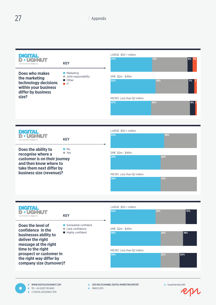

MICRO Less than \$2 million **58% 22% 20%**

www.digitaldoughnut.com  $\blacktriangleright$  TFI: +44 (0) 207 193 4600 © Digital Doughnut 2015

**message at the right time to the right** 

**prospect or customer in the right way differ by company size (turnover)?** 

- **2015 MULTICHANNEL DIGITAL MARKETING REPORT**
- $MARTH 2015$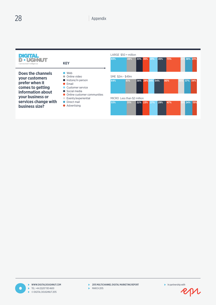#### **DIGITAL D**.UC ected Intellige



**Does the channels your customers prefer when it comes to getting information about your business or services change with business size?**

- l Web
- **Online video**  $\bullet$  Instore/in person
- $\bullet$  Email
- **Customer service**
- $\bullet$  Social media
- **O** Online customer communities
- **Events/experiential**
- $\bullet$  Direct mail
- **Advertising**

#### LARGE \$50 + million



#### MICRO Less than \$2 million

| 53% | 31% |  | 22% 23% 27% | 29% | 47% | 24% 15% |  |
|-----|-----|--|-------------|-----|-----|---------|--|
|     |     |  |             |     |     |         |  |
|     |     |  |             |     |     |         |  |

28

€

 $MARCH 2015$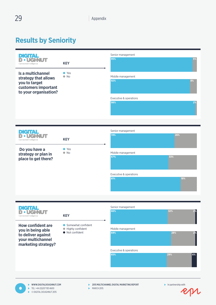## **Results by Seniority**

| C ITAL<br>D.<br>Connected Intelligence<br>Is a multichannel<br>strategy that allows<br>you to target<br>customers important<br>to your organisation? | <b>KEY</b><br>● Yes<br>$\bullet$ No                               | Senior management<br>95%<br>Middle management<br>92%<br>8%<br>Executive & operations<br>98%<br>2% |
|------------------------------------------------------------------------------------------------------------------------------------------------------|-------------------------------------------------------------------|---------------------------------------------------------------------------------------------------|
|                                                                                                                                                      |                                                                   |                                                                                                   |
| DIGITAL<br>Connected Intelligence                                                                                                                    | <b>KEY</b>                                                        | Senior management<br>74%<br>26%                                                                   |
| Do you have a<br>strategy or plan in<br>place to get there?                                                                                          | ● Yes<br>$\bullet$ No                                             | Middle management<br>67%<br>33%                                                                   |
|                                                                                                                                                      |                                                                   | Executive & operations<br>81%<br>19%                                                              |
|                                                                                                                                                      |                                                                   |                                                                                                   |
| <b>DIGTAL</b><br><u> ростт</u><br>Connected Intelligence                                                                                             | <b>KEY</b>                                                        | Senior management<br>2%<br>66%<br>32%                                                             |
| <b>How confident are</b><br>you in being able<br>to deliver against<br>your multichannel<br>marketing strategy?                                      | Somewhat confident<br>Highly confident<br>$\bullet$ Not confident | Middle management<br>69%<br>28%<br>2%                                                             |
|                                                                                                                                                      |                                                                   | Executive & operations<br>65%<br>29%<br>6%                                                        |
| WWW DIGITAL DOLIGHNIJT COM                                                                                                                           |                                                                   | 2015 MIIITICHANNEL DIGITAL MARKETING REPORT<br>In nartnorshin with                                |

r

29

www.digitaldoughnut.com TEL: +44 (0) 207 193 4600 © Digital Doughnut 2015

n

- 2015 MULTICHANNEL DIGITAL MARKETING REPORT
- $MARTH 2015$

In partnership with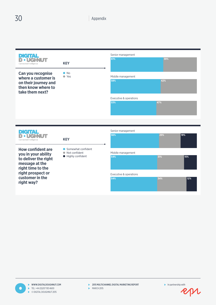|                                       |                            | Senior management             |            |  |
|---------------------------------------|----------------------------|-------------------------------|------------|--|
| <b>DIGITAL</b><br>· UCHUT             |                            | 61%                           | 39%        |  |
| Connected Intelligence                | <b>KEY</b>                 |                               |            |  |
|                                       |                            |                               |            |  |
| Can you recognise                     | $\bullet$ No<br>● Yes      |                               |            |  |
| where a customer is                   |                            | Middle management<br>58%      | 42%        |  |
| on their journey and                  |                            |                               |            |  |
| then know where to<br>take them next? |                            |                               |            |  |
|                                       |                            |                               |            |  |
|                                       |                            | Executive & operations<br>53% | 47%        |  |
|                                       |                            |                               |            |  |
|                                       |                            |                               |            |  |
|                                       |                            |                               |            |  |
|                                       |                            |                               |            |  |
|                                       |                            |                               |            |  |
| <b>DIGTAL<br/>D•ughjut</b>            |                            | Senior management<br>56%      | 25%<br>19% |  |
| Connected Intelligence                | <b>KEY</b>                 |                               |            |  |
|                                       |                            |                               |            |  |
|                                       |                            |                               |            |  |
| <b>How confident are</b>              | • Somewhat confident       |                               |            |  |
| you in your ability                   | Not confident<br>$\bullet$ | Middle management             |            |  |
| to deliver the right                  | • Highly confident         | 54%                           | 31%<br>15% |  |
| message at the                        |                            |                               |            |  |
| right time to the                     |                            |                               |            |  |
| right prospect or                     |                            | Executive & operations        |            |  |
| customer in the                       |                            | 54%                           | 34%<br>12% |  |
| right way?                            |                            |                               |            |  |

 $\bullet$ 

- 2015 MULTICHANNEL DIGITAL MARKETING REPORT
- **MARCH 2015**